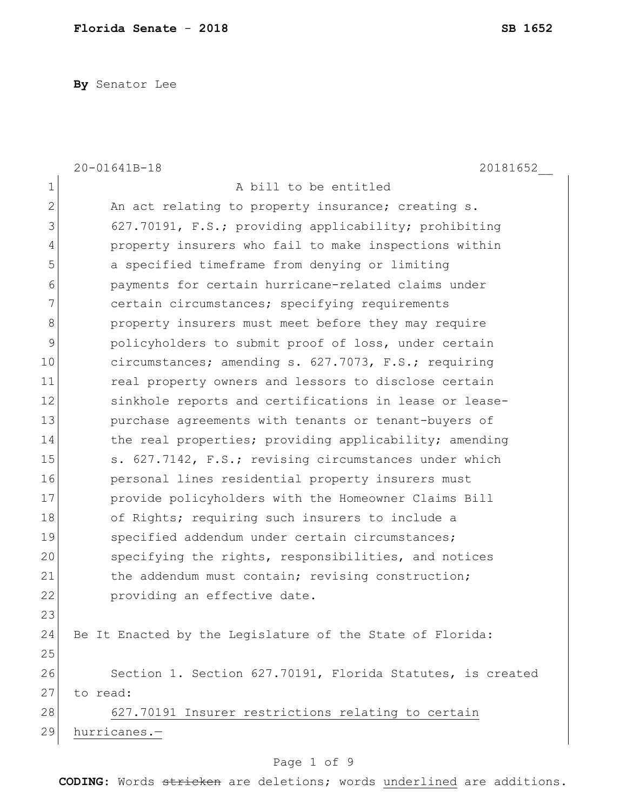**By** Senator Lee

|                | 20-01641B-18<br>20181652                                   |
|----------------|------------------------------------------------------------|
| $\mathbf 1$    | A bill to be entitled                                      |
| $\overline{2}$ | An act relating to property insurance; creating s.         |
| 3              | 627.70191, F.S.; providing applicability; prohibiting      |
| 4              | property insurers who fail to make inspections within      |
| 5              | a specified timeframe from denying or limiting             |
| 6              | payments for certain hurricane-related claims under        |
| $\overline{7}$ | certain circumstances; specifying requirements             |
| 8              | property insurers must meet before they may require        |
| $\mathcal{G}$  | policyholders to submit proof of loss, under certain       |
| 10             | circumstances; amending s. 627.7073, F.S.; requiring       |
| 11             | real property owners and lessors to disclose certain       |
| 12             | sinkhole reports and certifications in lease or lease-     |
| 13             | purchase agreements with tenants or tenant-buyers of       |
| 14             | the real properties; providing applicability; amending     |
| 15             | s. 627.7142, F.S.; revising circumstances under which      |
| 16             | personal lines residential property insurers must          |
| 17             | provide policyholders with the Homeowner Claims Bill       |
| 18             | of Rights; requiring such insurers to include a            |
| 19             | specified addendum under certain circumstances;            |
| 20             | specifying the rights, responsibilities, and notices       |
| 21             | the addendum must contain; revising construction;          |
| 22             | providing an effective date.                               |
| 23             |                                                            |
| 24             | Be It Enacted by the Legislature of the State of Florida:  |
| 25             |                                                            |
| 26             | Section 1. Section 627.70191, Florida Statutes, is created |
| 27             | to read:                                                   |
| 28             | 627.70191 Insurer restrictions relating to certain         |
| 29             | hurricanes.-                                               |
|                |                                                            |

# Page 1 of 9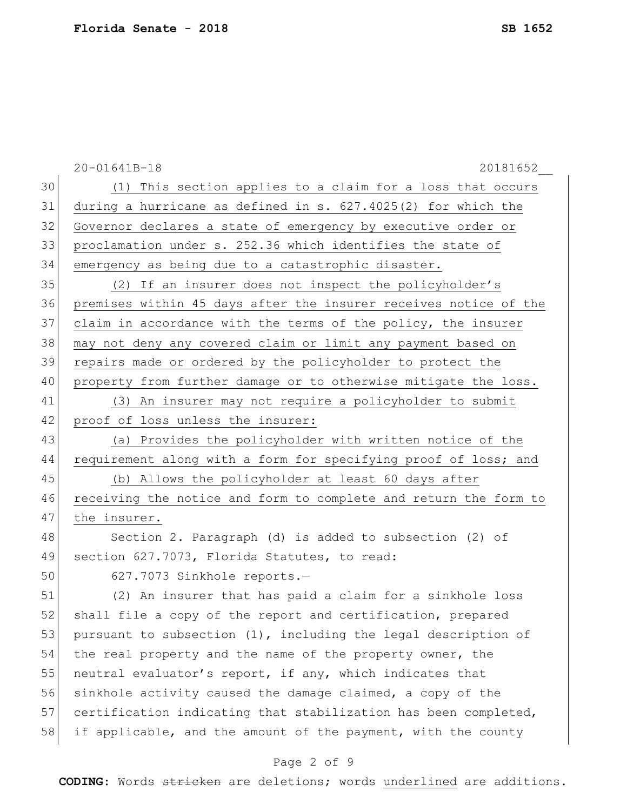|    | 20-01641B-18<br>20181652                                         |
|----|------------------------------------------------------------------|
| 30 | (1) This section applies to a claim for a loss that occurs       |
| 31 | during a hurricane as defined in s. $627.4025(2)$ for which the  |
| 32 | Governor declares a state of emergency by executive order or     |
| 33 | proclamation under s. 252.36 which identifies the state of       |
| 34 | emergency as being due to a catastrophic disaster.               |
| 35 | (2) If an insurer does not inspect the policyholder's            |
| 36 | premises within 45 days after the insurer receives notice of the |
| 37 | claim in accordance with the terms of the policy, the insurer    |
| 38 | may not deny any covered claim or limit any payment based on     |
| 39 | repairs made or ordered by the policyholder to protect the       |
| 40 | property from further damage or to otherwise mitigate the loss.  |
| 41 | (3) An insurer may not require a policyholder to submit          |
| 42 | proof of loss unless the insurer:                                |
| 43 | (a) Provides the policyholder with written notice of the         |
| 44 | requirement along with a form for specifying proof of loss; and  |
| 45 | (b) Allows the policyholder at least 60 days after               |
| 46 | receiving the notice and form to complete and return the form to |
| 47 | the insurer.                                                     |
| 48 | Section 2. Paragraph (d) is added to subsection (2) of           |
| 49 | section 627.7073, Florida Statutes, to read:                     |
| 50 | 627.7073 Sinkhole reports.-                                      |
| 51 | (2) An insurer that has paid a claim for a sinkhole loss         |
| 52 | shall file a copy of the report and certification, prepared      |
| 53 | pursuant to subsection (1), including the legal description of   |
| 54 | the real property and the name of the property owner, the        |
| 55 | neutral evaluator's report, if any, which indicates that         |
| 56 | sinkhole activity caused the damage claimed, a copy of the       |
| 57 | certification indicating that stabilization has been completed,  |
| 58 | if applicable, and the amount of the payment, with the county    |
|    |                                                                  |

## Page 2 of 9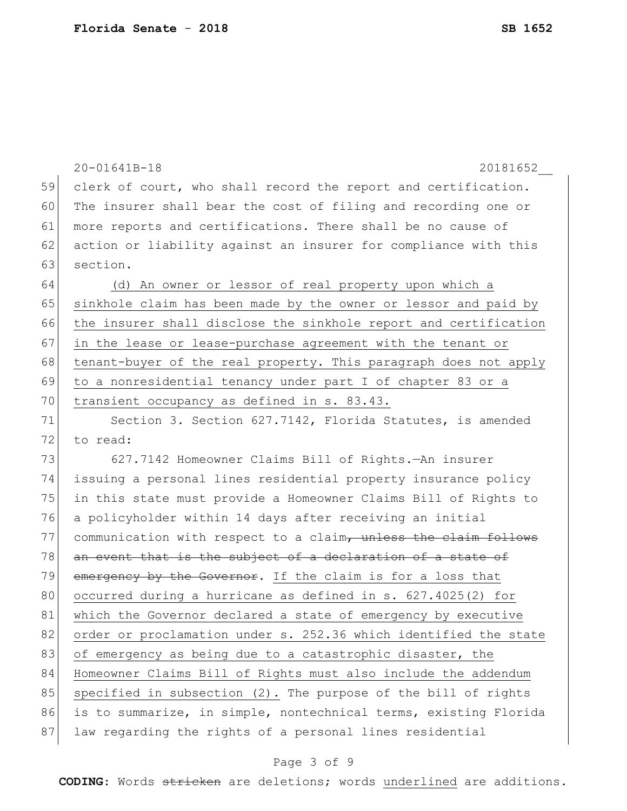|    | 20-01641B-18<br>20181652                                         |
|----|------------------------------------------------------------------|
| 59 | clerk of court, who shall record the report and certification.   |
| 60 | The insurer shall bear the cost of filing and recording one or   |
| 61 | more reports and certifications. There shall be no cause of      |
| 62 | action or liability against an insurer for compliance with this  |
| 63 | section.                                                         |
| 64 | (d) An owner or lessor of real property upon which a             |
| 65 | sinkhole claim has been made by the owner or lessor and paid by  |
| 66 | the insurer shall disclose the sinkhole report and certification |
| 67 | in the lease or lease-purchase agreement with the tenant or      |
| 68 | tenant-buyer of the real property. This paragraph does not apply |
| 69 | to a nonresidential tenancy under part I of chapter 83 or a      |
| 70 | transient occupancy as defined in s. 83.43.                      |
| 71 | Section 3. Section 627.7142, Florida Statutes, is amended        |
| 72 | to read:                                                         |
| 73 | 627.7142 Homeowner Claims Bill of Rights.-An insurer             |
| 74 | issuing a personal lines residential property insurance policy   |
| 75 | in this state must provide a Homeowner Claims Bill of Rights to  |
| 76 | a policyholder within 14 days after receiving an initial         |
| 77 | communication with respect to a claim, unless the claim follows  |
| 78 | an event that is the subject of a declaration of a state of      |
| 79 | emergency by the Governor. If the claim is for a loss that       |
| 80 | occurred during a hurricane as defined in s. 627.4025(2) for     |
| 81 | which the Governor declared a state of emergency by executive    |
| 82 | order or proclamation under s. 252.36 which identified the state |
| 83 | of emergency as being due to a catastrophic disaster, the        |
| 84 | Homeowner Claims Bill of Rights must also include the addendum   |
| 85 | specified in subsection (2). The purpose of the bill of rights   |
| 86 | is to summarize, in simple, nontechnical terms, existing Florida |
| 87 | law regarding the rights of a personal lines residential         |

## Page 3 of 9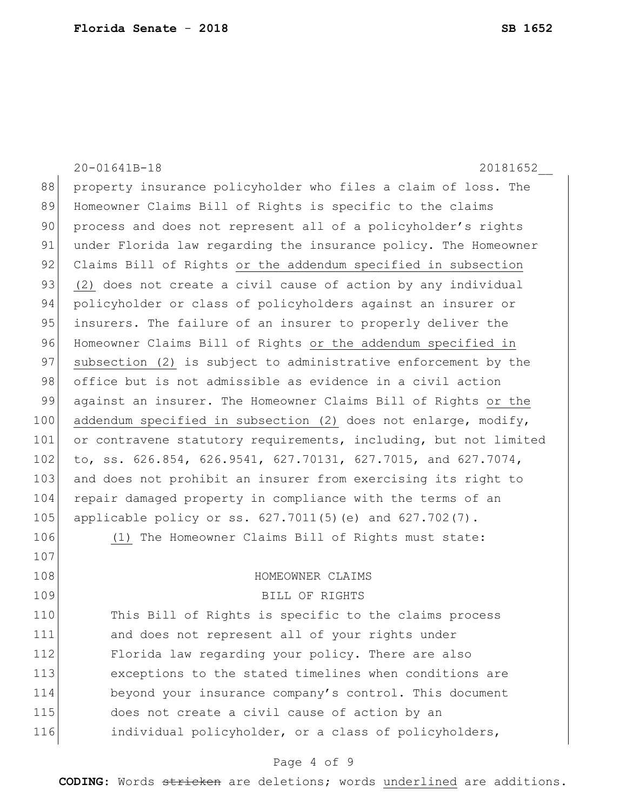107

20-01641B-18 20181652\_\_ 88 property insurance policyholder who files a claim of loss. The 89 Homeowner Claims Bill of Rights is specific to the claims 90 process and does not represent all of a policyholder's rights 91 under Florida law regarding the insurance policy. The Homeowner 92 Claims Bill of Rights or the addendum specified in subsection 93 (2) does not create a civil cause of action by any individual 94 policyholder or class of policyholders against an insurer or 95 insurers. The failure of an insurer to properly deliver the 96 Homeowner Claims Bill of Rights or the addendum specified in 97 subsection (2) is subject to administrative enforcement by the 98 office but is not admissible as evidence in a civil action 99 against an insurer. The Homeowner Claims Bill of Rights or the 100 addendum specified in subsection (2) does not enlarge, modify, 101 or contravene statutory requirements, including, but not limited 102 to, ss. 626.854, 626.9541, 627.70131, 627.7015, and 627.7074, 103 and does not prohibit an insurer from exercising its right to 104 repair damaged property in compliance with the terms of an 105 applicable policy or ss. 627.7011(5)(e) and 627.702(7). 106 (1) The Homeowner Claims Bill of Rights must state:

#### 108 HOMEOWNER CLAIMS

109 BILL OF RIGHTS

110 This Bill of Rights is specific to the claims process 111 and does not represent all of your rights under 112 Florida law regarding your policy. There are also 113 exceptions to the stated timelines when conditions are 114 beyond your insurance company's control. This document 115 does not create a civil cause of action by an 116 individual policyholder, or a class of policyholders,

#### Page 4 of 9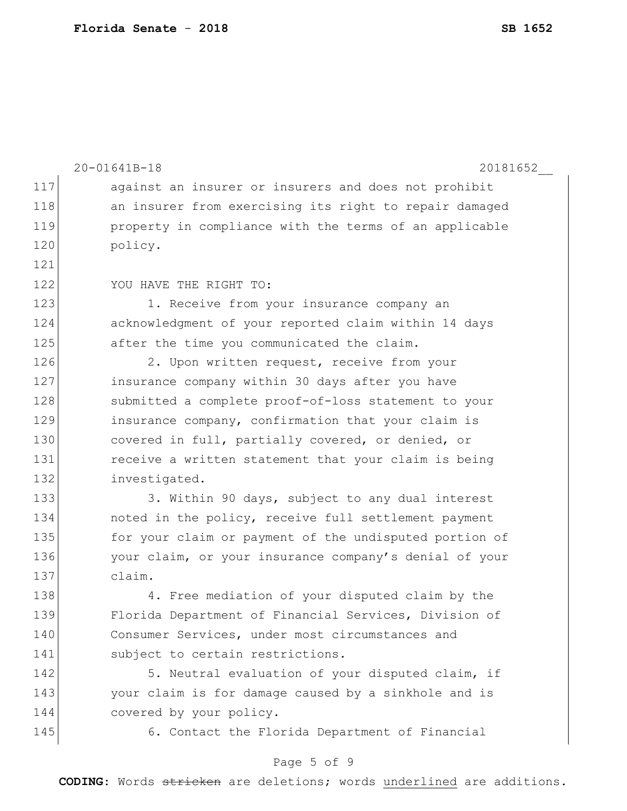|     | 20-01641B-18<br>20181652                               |
|-----|--------------------------------------------------------|
| 117 | against an insurer or insurers and does not prohibit   |
| 118 | an insurer from exercising its right to repair damaged |
| 119 |                                                        |
| 120 | property in compliance with the terms of an applicable |
| 121 | policy.                                                |
| 122 |                                                        |
|     | YOU HAVE THE RIGHT TO:                                 |
| 123 | 1. Receive from your insurance company an              |
| 124 | acknowledgment of your reported claim within 14 days   |
| 125 | after the time you communicated the claim.             |
| 126 | 2. Upon written request, receive from your             |
| 127 | insurance company within 30 days after you have        |
| 128 | submitted a complete proof-of-loss statement to your   |
| 129 | insurance company, confirmation that your claim is     |
| 130 | covered in full, partially covered, or denied, or      |
| 131 | receive a written statement that your claim is being   |
| 132 | investigated.                                          |
| 133 | 3. Within 90 days, subject to any dual interest        |
| 134 | noted in the policy, receive full settlement payment   |
| 135 | for your claim or payment of the undisputed portion of |
| 136 | your claim, or your insurance company's denial of your |
| 137 | claim.                                                 |
| 138 | 4. Free mediation of your disputed claim by the        |
| 139 | Florida Department of Financial Services, Division of  |
| 140 | Consumer Services, under most circumstances and        |
| 141 | subject to certain restrictions.                       |
| 142 | 5. Neutral evaluation of your disputed claim, if       |
| 143 | your claim is for damage caused by a sinkhole and is   |
| 144 | covered by your policy.                                |
| 145 | 6. Contact the Florida Department of Financial         |

## Page 5 of 9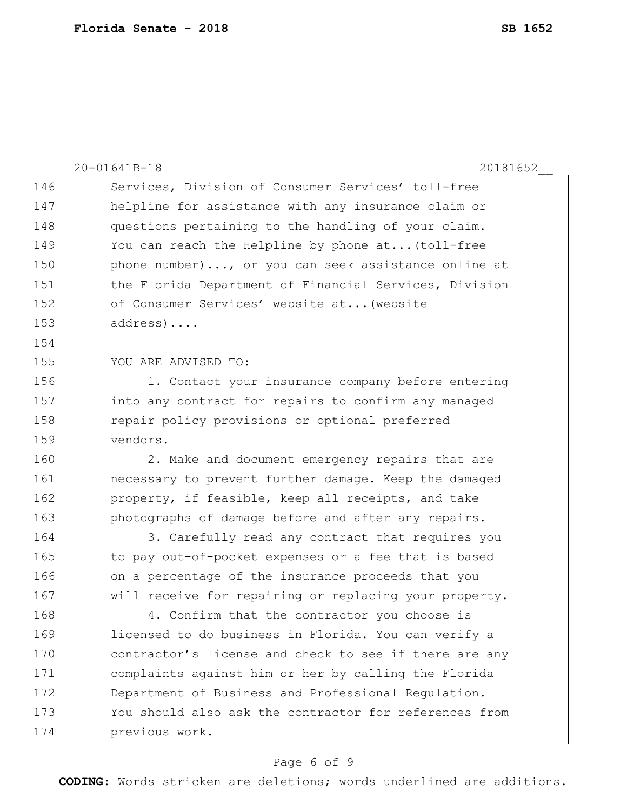|     | 20-01641B-18<br>20181652                               |
|-----|--------------------------------------------------------|
| 146 | Services, Division of Consumer Services' toll-free     |
| 147 | helpline for assistance with any insurance claim or    |
| 148 | questions pertaining to the handling of your claim.    |
| 149 | You can reach the Helpline by phone at (toll-free      |
| 150 | phone number), or you can seek assistance online at    |
| 151 | the Florida Department of Financial Services, Division |
| 152 | of Consumer Services' website at (website              |
| 153 | $address) \ldots$ .                                    |
| 154 |                                                        |
| 155 | YOU ARE ADVISED TO:                                    |
| 156 | 1. Contact your insurance company before entering      |
| 157 | into any contract for repairs to confirm any managed   |
| 158 | repair policy provisions or optional preferred         |
| 159 | vendors.                                               |
| 160 | 2. Make and document emergency repairs that are        |
| 161 | necessary to prevent further damage. Keep the damaged  |
| 162 | property, if feasible, keep all receipts, and take     |
| 163 | photographs of damage before and after any repairs.    |
| 164 | 3. Carefully read any contract that requires you       |
| 165 | to pay out-of-pocket expenses or a fee that is based   |
| 166 | on a percentage of the insurance proceeds that you     |
| 167 | will receive for repairing or replacing your property. |
| 168 | 4. Confirm that the contractor you choose is           |
| 169 | licensed to do business in Florida. You can verify a   |
| 170 | contractor's license and check to see if there are any |
| 171 | complaints against him or her by calling the Florida   |
| 172 | Department of Business and Professional Regulation.    |
| 173 | You should also ask the contractor for references from |
| 174 | previous work.                                         |

## Page 6 of 9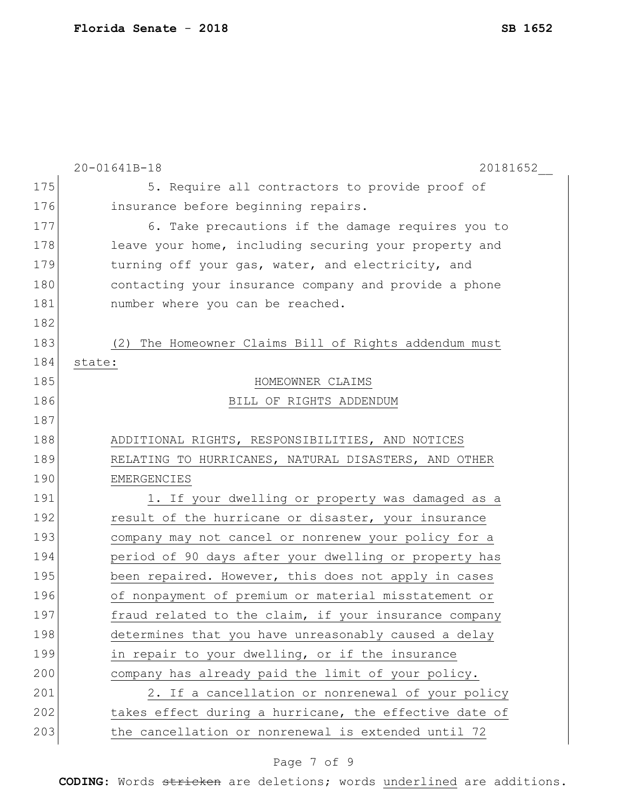|     | 20-01641B-18<br>20181652                                 |
|-----|----------------------------------------------------------|
| 175 | 5. Require all contractors to provide proof of           |
| 176 | insurance before beginning repairs.                      |
| 177 | 6. Take precautions if the damage requires you to        |
| 178 | leave your home, including securing your property and    |
| 179 | turning off your gas, water, and electricity, and        |
| 180 | contacting your insurance company and provide a phone    |
| 181 | number where you can be reached.                         |
| 182 |                                                          |
| 183 | The Homeowner Claims Bill of Rights addendum must<br>(2) |
| 184 | state:                                                   |
| 185 | HOMEOWNER CLAIMS                                         |
| 186 | BILL OF RIGHTS ADDENDUM                                  |
| 187 |                                                          |
| 188 | ADDITIONAL RIGHTS, RESPONSIBILITIES, AND NOTICES         |
| 189 | RELATING TO HURRICANES, NATURAL DISASTERS, AND OTHER     |
| 190 | EMERGENCIES                                              |
| 191 | 1. If your dwelling or property was damaged as a         |
| 192 | result of the hurricane or disaster, your insurance      |
| 193 | company may not cancel or nonrenew your policy for a     |
| 194 | period of 90 days after your dwelling or property has    |
| 195 | been repaired. However, this does not apply in cases     |
| 196 | of nonpayment of premium or material misstatement or     |
| 197 | fraud related to the claim, if your insurance company    |
| 198 | determines that you have unreasonably caused a delay     |
| 199 | in repair to your dwelling, or if the insurance          |
| 200 | company has already paid the limit of your policy.       |
| 201 | 2. If a cancellation or nonrenewal of your policy        |
| 202 | takes effect during a hurricane, the effective date of   |
| 203 | the cancellation or nonrenewal is extended until 72      |

## Page 7 of 9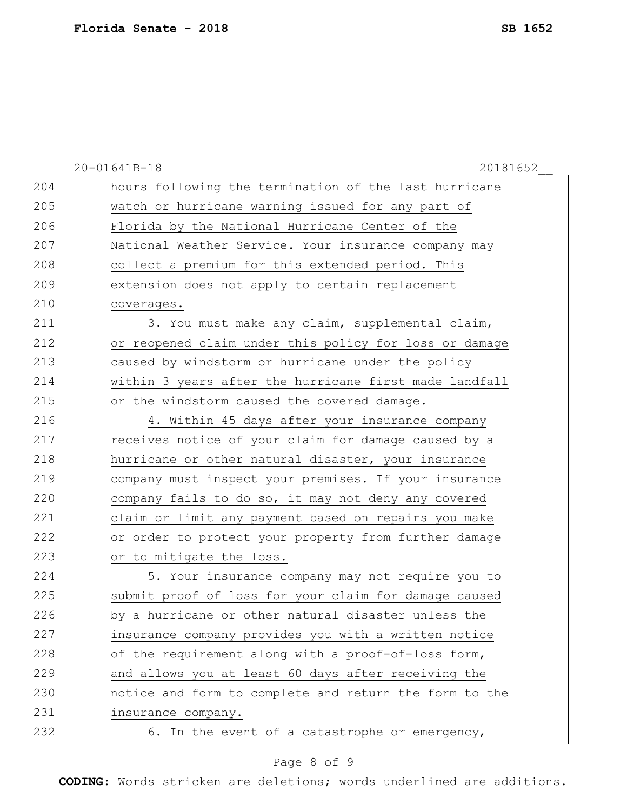|     | 20-01641B-18<br>20181652                               |
|-----|--------------------------------------------------------|
| 204 | hours following the termination of the last hurricane  |
| 205 | watch or hurricane warning issued for any part of      |
| 206 | Florida by the National Hurricane Center of the        |
| 207 | National Weather Service. Your insurance company may   |
| 208 | collect a premium for this extended period. This       |
| 209 | extension does not apply to certain replacement        |
| 210 | coverages.                                             |
| 211 | 3. You must make any claim, supplemental claim,        |
| 212 | or reopened claim under this policy for loss or damage |
| 213 | caused by windstorm or hurricane under the policy      |
| 214 | within 3 years after the hurricane first made landfall |
| 215 | or the windstorm caused the covered damage.            |
| 216 | 4. Within 45 days after your insurance company         |
| 217 | receives notice of your claim for damage caused by a   |
| 218 | hurricane or other natural disaster, your insurance    |
| 219 | company must inspect your premises. If your insurance  |
| 220 | company fails to do so, it may not deny any covered    |
| 221 | claim or limit any payment based on repairs you make   |
| 222 | or order to protect your property from further damage  |
| 223 | or to mitigate the loss.                               |
| 224 | 5. Your insurance company may not require you to       |
| 225 | submit proof of loss for your claim for damage caused  |
| 226 | by a hurricane or other natural disaster unless the    |
| 227 | insurance company provides you with a written notice   |
| 228 | of the requirement along with a proof-of-loss form,    |
| 229 | and allows you at least 60 days after receiving the    |
| 230 | notice and form to complete and return the form to the |
| 231 | insurance company.                                     |
| 232 | 6. In the event of a catastrophe or emergency,         |

## Page 8 of 9